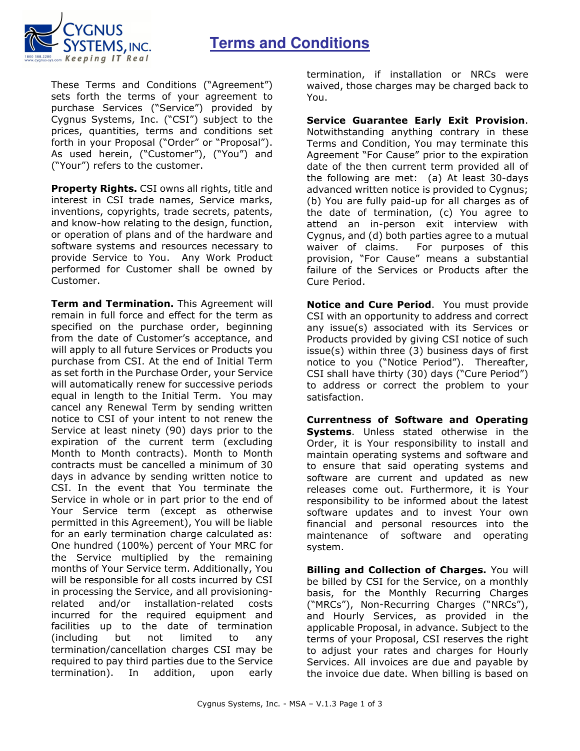## **Terms and Conditions**



These Terms and Conditions ("Agreement") sets forth the terms of your agreement to purchase Services ("Service") provided by Cygnus Systems, Inc. ("CSI") subject to the prices, quantities, terms and conditions set forth in your Proposal ("Order" or "Proposal"). As used herein, ("Customer"), ("You") and ("Your") refers to the customer.

**Property Rights.** CSI owns all rights, title and interest in CSI trade names, Service marks, inventions, copyrights, trade secrets, patents, and know-how relating to the design, function, or operation of plans and of the hardware and software systems and resources necessary to provide Service to You. Any Work Product performed for Customer shall be owned by Customer.

**Term and Termination.** This Agreement will remain in full force and effect for the term as specified on the purchase order, beginning from the date of Customer's acceptance, and will apply to all future Services or Products you purchase from CSI. At the end of Initial Term as set forth in the Purchase Order, your Service will automatically renew for successive periods equal in length to the Initial Term. You may cancel any Renewal Term by sending written notice to CSI of your intent to not renew the Service at least ninety (90) days prior to the expiration of the current term (excluding Month to Month contracts). Month to Month contracts must be cancelled a minimum of 30 days in advance by sending written notice to CSI. In the event that You terminate the Service in whole or in part prior to the end of Your Service term (except as otherwise permitted in this Agreement), You will be liable for an early termination charge calculated as: One hundred (100%) percent of Your MRC for the Service multiplied by the remaining months of Your Service term. Additionally, You will be responsible for all costs incurred by CSI in processing the Service, and all provisioningrelated and/or installation-related costs incurred for the required equipment and facilities up to the date of termination (including but not limited to any termination/cancellation charges CSI may be required to pay third parties due to the Service termination). In addition, upon early

termination, if installation or NRCs were waived, those charges may be charged back to You.

**Service Guarantee Early Exit Provision**. Notwithstanding anything contrary in these Terms and Condition, You may terminate this Agreement "For Cause" prior to the expiration date of the then current term provided all of the following are met: (a) At least 30-days advanced written notice is provided to Cygnus; (b) You are fully paid-up for all charges as of the date of termination, (c) You agree to attend an in-person exit interview with Cygnus, and (d) both parties agree to a mutual waiver of claims. For purposes of this provision, "For Cause" means a substantial failure of the Services or Products after the Cure Period.

**Notice and Cure Period**. You must provide CSI with an opportunity to address and correct any issue(s) associated with its Services or Products provided by giving CSI notice of such issue(s) within three (3) business days of first notice to you ("Notice Period"). Thereafter, CSI shall have thirty (30) days ("Cure Period") to address or correct the problem to your satisfaction.

**Currentness of Software and Operating Systems**. Unless stated otherwise in the Order, it is Your responsibility to install and maintain operating systems and software and to ensure that said operating systems and software are current and updated as new releases come out. Furthermore, it is Your responsibility to be informed about the latest software updates and to invest Your own financial and personal resources into the maintenance of software and operating system.

**Billing and Collection of Charges.** You will be billed by CSI for the Service, on a monthly basis, for the Monthly Recurring Charges ("MRCs"), Non-Recurring Charges ("NRCs"), and Hourly Services, as provided in the applicable Proposal, in advance. Subject to the terms of your Proposal, CSI reserves the right to adjust your rates and charges for Hourly Services. All invoices are due and payable by the invoice due date. When billing is based on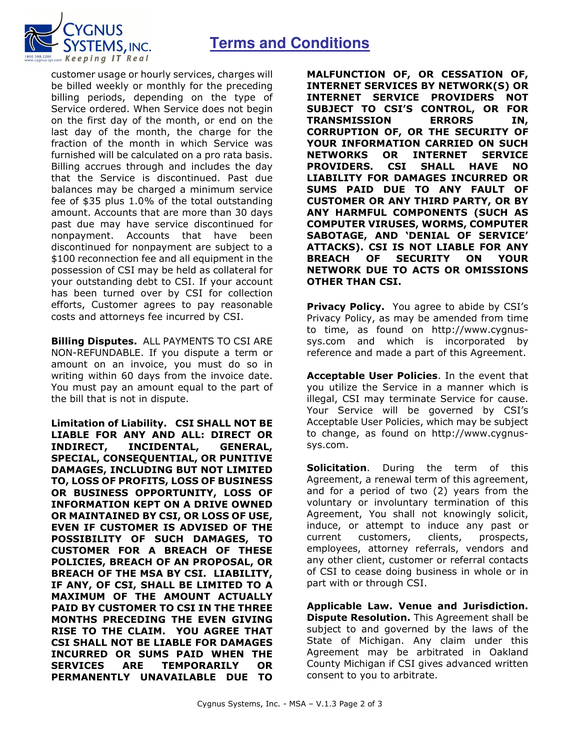## **Terms and Conditions**



customer usage or hourly services, charges will be billed weekly or monthly for the preceding billing periods, depending on the type of Service ordered. When Service does not begin on the first day of the month, or end on the last day of the month, the charge for the fraction of the month in which Service was furnished will be calculated on a pro rata basis. Billing accrues through and includes the day that the Service is discontinued. Past due balances may be charged a minimum service fee of \$35 plus 1.0% of the total outstanding amount. Accounts that are more than 30 days past due may have service discontinued for nonpayment. Accounts that have been discontinued for nonpayment are subject to a \$100 reconnection fee and all equipment in the possession of CSI may be held as collateral for your outstanding debt to CSI. If your account has been turned over by CSI for collection efforts, Customer agrees to pay reasonable costs and attorneys fee incurred by CSI.

**Billing Disputes.** ALL PAYMENTS TO CSI ARE NON-REFUNDABLE. If you dispute a term or amount on an invoice, you must do so in writing within 60 days from the invoice date. You must pay an amount equal to the part of the bill that is not in dispute.

**Limitation of Liability. CSI SHALL NOT BE LIABLE FOR ANY AND ALL: DIRECT OR INDIRECT, INCIDENTAL, GENERAL, SPECIAL, CONSEQUENTIAL, OR PUNITIVE DAMAGES, INCLUDING BUT NOT LIMITED TO, LOSS OF PROFITS, LOSS OF BUSINESS OR BUSINESS OPPORTUNITY, LOSS OF INFORMATION KEPT ON A DRIVE OWNED OR MAINTAINED BY CSI, OR LOSS OF USE, EVEN IF CUSTOMER IS ADVISED OF THE POSSIBILITY OF SUCH DAMAGES, TO CUSTOMER FOR A BREACH OF THESE POLICIES, BREACH OF AN PROPOSAL, OR BREACH OF THE MSA BY CSI. LIABILITY, IF ANY, OF CSI, SHALL BE LIMITED TO A MAXIMUM OF THE AMOUNT ACTUALLY PAID BY CUSTOMER TO CSI IN THE THREE MONTHS PRECEDING THE EVEN GIVING RISE TO THE CLAIM. YOU AGREE THAT CSI SHALL NOT BE LIABLE FOR DAMAGES INCURRED OR SUMS PAID WHEN THE SERVICES ARE TEMPORARILY OR PERMANENTLY UNAVAILABLE DUE TO**  **MALFUNCTION OF, OR CESSATION OF, INTERNET SERVICES BY NETWORK(S) OR INTERNET SERVICE PROVIDERS NOT SUBJECT TO CSI'S CONTROL, OR FOR TRANSMISSION ERRORS IN, CORRUPTION OF, OR THE SECURITY OF YOUR INFORMATION CARRIED ON SUCH NETWORKS OR INTERNET SERVICE PROVIDERS. CSI SHALL HAVE NO LIABILITY FOR DAMAGES INCURRED OR SUMS PAID DUE TO ANY FAULT OF CUSTOMER OR ANY THIRD PARTY, OR BY ANY HARMFUL COMPONENTS (SUCH AS COMPUTER VIRUSES, WORMS, COMPUTER SABOTAGE, AND 'DENIAL OF SERVICE' ATTACKS). CSI IS NOT LIABLE FOR ANY BREACH OF SECURITY ON YOUR NETWORK DUE TO ACTS OR OMISSIONS OTHER THAN CSI.** 

**Privacy Policy.** You agree to abide by CSI's Privacy Policy, as may be amended from time to time, as found on http://www.cygnussys.com and which is incorporated by reference and made a part of this Agreement.

**Acceptable User Policies**. In the event that you utilize the Service in a manner which is illegal, CSI may terminate Service for cause. Your Service will be governed by CSI's Acceptable User Policies, which may be subject to change, as found on http://www.cygnussys.com.

**Solicitation**. During the term of this Agreement, a renewal term of this agreement, and for a period of two (2) years from the voluntary or involuntary termination of this Agreement, You shall not knowingly solicit, induce, or attempt to induce any past or current customers, clients, prospects, employees, attorney referrals, vendors and any other client, customer or referral contacts of CSI to cease doing business in whole or in part with or through CSI.

**Applicable Law. Venue and Jurisdiction. Dispute Resolution.** This Agreement shall be subject to and governed by the laws of the State of Michigan. Any claim under this Agreement may be arbitrated in Oakland County Michigan if CSI gives advanced written consent to you to arbitrate.